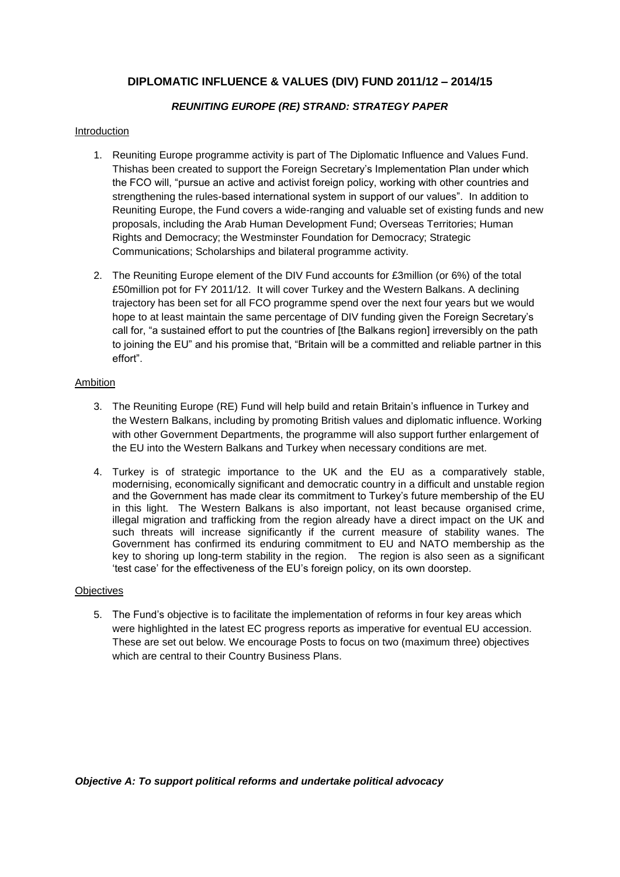# **DIPLOMATIC INFLUENCE & VALUES (DIV) FUND 2011/12 – 2014/15**

# *REUNITING EUROPE (RE) STRAND: STRATEGY PAPER*

# Introduction

- 1. Reuniting Europe programme activity is part of The Diplomatic Influence and Values Fund. Thishas been created to support the Foreign Secretary"s Implementation Plan under which the FCO will, "pursue an active and activist foreign policy, working with other countries and strengthening the rules-based international system in support of our values". In addition to Reuniting Europe, the Fund covers a wide-ranging and valuable set of existing funds and new proposals, including the Arab Human Development Fund; Overseas Territories; Human Rights and Democracy; the Westminster Foundation for Democracy; Strategic Communications; Scholarships and bilateral programme activity.
- 2. The Reuniting Europe element of the DIV Fund accounts for £3million (or 6%) of the total £50million pot for FY 2011/12. It will cover Turkey and the Western Balkans. A declining trajectory has been set for all FCO programme spend over the next four years but we would hope to at least maintain the same percentage of DIV funding given the Foreign Secretary"s call for, "a sustained effort to put the countries of [the Balkans region] irreversibly on the path to joining the EU" and his promise that, "Britain will be a committed and reliable partner in this effort".

# Ambition

- 3. The Reuniting Europe (RE) Fund will help build and retain Britain"s influence in Turkey and the Western Balkans, including by promoting British values and diplomatic influence. Working with other Government Departments, the programme will also support further enlargement of the EU into the Western Balkans and Turkey when necessary conditions are met.
- 4. Turkey is of strategic importance to the UK and the EU as a comparatively stable, modernising, economically significant and democratic country in a difficult and unstable region and the Government has made clear its commitment to Turkey"s future membership of the EU in this light. The Western Balkans is also important, not least because organised crime, illegal migration and trafficking from the region already have a direct impact on the UK and such threats will increase significantly if the current measure of stability wanes. The Government has confirmed its enduring commitment to EU and NATO membership as the key to shoring up long-term stability in the region. The region is also seen as a significant "test case" for the effectiveness of the EU"s foreign policy, on its own doorstep.

# **Objectives**

5. The Fund"s objective is to facilitate the implementation of reforms in four key areas which were highlighted in the latest EC progress reports as imperative for eventual EU accession. These are set out below. We encourage Posts to focus on two (maximum three) objectives which are central to their Country Business Plans.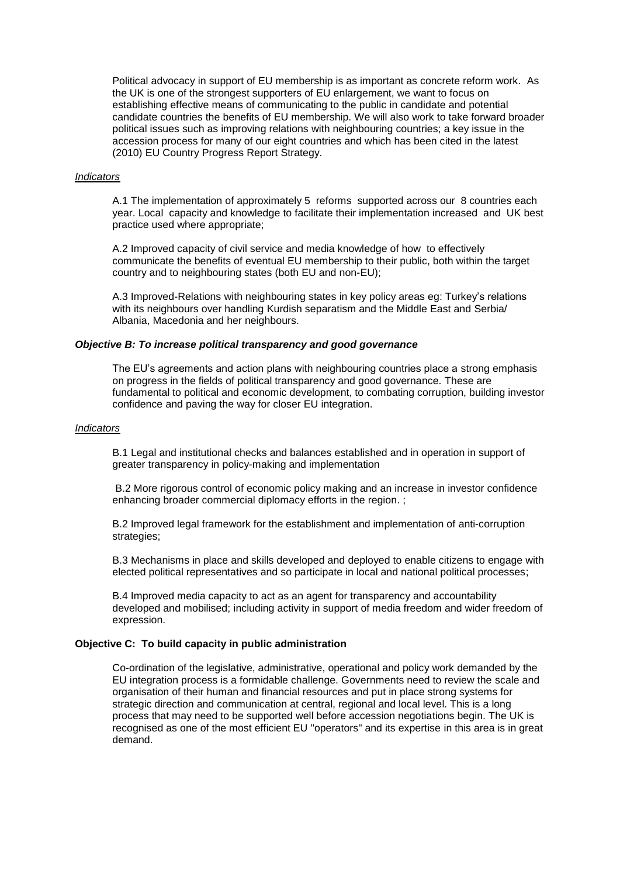Political advocacy in support of EU membership is as important as concrete reform work. As the UK is one of the strongest supporters of EU enlargement, we want to focus on establishing effective means of communicating to the public in candidate and potential candidate countries the benefits of EU membership. We will also work to take forward broader political issues such as improving relations with neighbouring countries; a key issue in the accession process for many of our eight countries and which has been cited in the latest (2010) EU Country Progress Report Strategy.

## *Indicators*

A.1 The implementation of approximately 5 reforms supported across our 8 countries each year. Local capacity and knowledge to facilitate their implementation increased and UK best practice used where appropriate;

A.2 Improved capacity of civil service and media knowledge of how to effectively communicate the benefits of eventual EU membership to their public, both within the target country and to neighbouring states (both EU and non-EU);

A.3 Improved-Relations with neighbouring states in key policy areas eg: Turkey"s relations with its neighbours over handling Kurdish separatism and the Middle East and Serbia/ Albania, Macedonia and her neighbours.

#### *Objective B: To increase political transparency and good governance*

The EU's agreements and action plans with neighbouring countries place a strong emphasis on progress in the fields of political transparency and good governance. These are fundamental to political and economic development, to combating corruption, building investor confidence and paving the way for closer EU integration.

#### *Indicators*

B.1 Legal and institutional checks and balances established and in operation in support of greater transparency in policy-making and implementation

B.2 More rigorous control of economic policy making and an increase in investor confidence enhancing broader commercial diplomacy efforts in the region. :

B.2 Improved legal framework for the establishment and implementation of anti-corruption strategies;

B.3 Mechanisms in place and skills developed and deployed to enable citizens to engage with elected political representatives and so participate in local and national political processes;

B.4 Improved media capacity to act as an agent for transparency and accountability developed and mobilised; including activity in support of media freedom and wider freedom of expression.

# **Objective C: To build capacity in public administration**

Co-ordination of the legislative, administrative, operational and policy work demanded by the EU integration process is a formidable challenge. Governments need to review the scale and organisation of their human and financial resources and put in place strong systems for strategic direction and communication at central, regional and local level. This is a long process that may need to be supported well before accession negotiations begin. The UK is recognised as one of the most efficient EU "operators" and its expertise in this area is in great demand.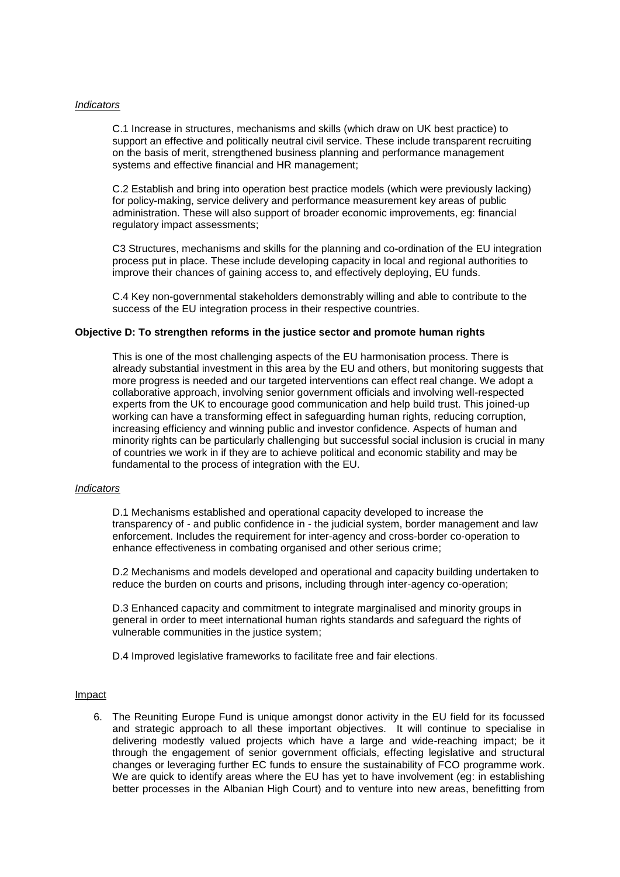### *Indicators*

C.1 Increase in structures, mechanisms and skills (which draw on UK best practice) to support an effective and politically neutral civil service. These include transparent recruiting on the basis of merit, strengthened business planning and performance management systems and effective financial and HR management;

C.2 Establish and bring into operation best practice models (which were previously lacking) for policy-making, service delivery and performance measurement key areas of public administration. These will also support of broader economic improvements, eg: financial regulatory impact assessments;

C3 Structures, mechanisms and skills for the planning and co-ordination of the EU integration process put in place. These include developing capacity in local and regional authorities to improve their chances of gaining access to, and effectively deploying, EU funds.

C.4 Key non-governmental stakeholders demonstrably willing and able to contribute to the success of the EU integration process in their respective countries.

#### **Objective D: To strengthen reforms in the justice sector and promote human rights**

This is one of the most challenging aspects of the EU harmonisation process. There is already substantial investment in this area by the EU and others, but monitoring suggests that more progress is needed and our targeted interventions can effect real change. We adopt a collaborative approach, involving senior government officials and involving well-respected experts from the UK to encourage good communication and help build trust. This joined-up working can have a transforming effect in safeguarding human rights, reducing corruption, increasing efficiency and winning public and investor confidence. Aspects of human and minority rights can be particularly challenging but successful social inclusion is crucial in many of countries we work in if they are to achieve political and economic stability and may be fundamental to the process of integration with the EU.

#### *Indicators*

D.1 Mechanisms established and operational capacity developed to increase the transparency of - and public confidence in - the judicial system, border management and law enforcement. Includes the requirement for inter-agency and cross-border co-operation to enhance effectiveness in combating organised and other serious crime;

D.2 Mechanisms and models developed and operational and capacity building undertaken to reduce the burden on courts and prisons, including through inter-agency co-operation;

D.3 Enhanced capacity and commitment to integrate marginalised and minority groups in general in order to meet international human rights standards and safeguard the rights of vulnerable communities in the justice system;

D.4 Improved legislative frameworks to facilitate free and fair elections.

#### Impact

6. The Reuniting Europe Fund is unique amongst donor activity in the EU field for its focussed and strategic approach to all these important objectives. It will continue to specialise in delivering modestly valued projects which have a large and wide-reaching impact; be it through the engagement of senior government officials, effecting legislative and structural changes or leveraging further EC funds to ensure the sustainability of FCO programme work. We are quick to identify areas where the EU has yet to have involvement (eg: in establishing better processes in the Albanian High Court) and to venture into new areas, benefitting from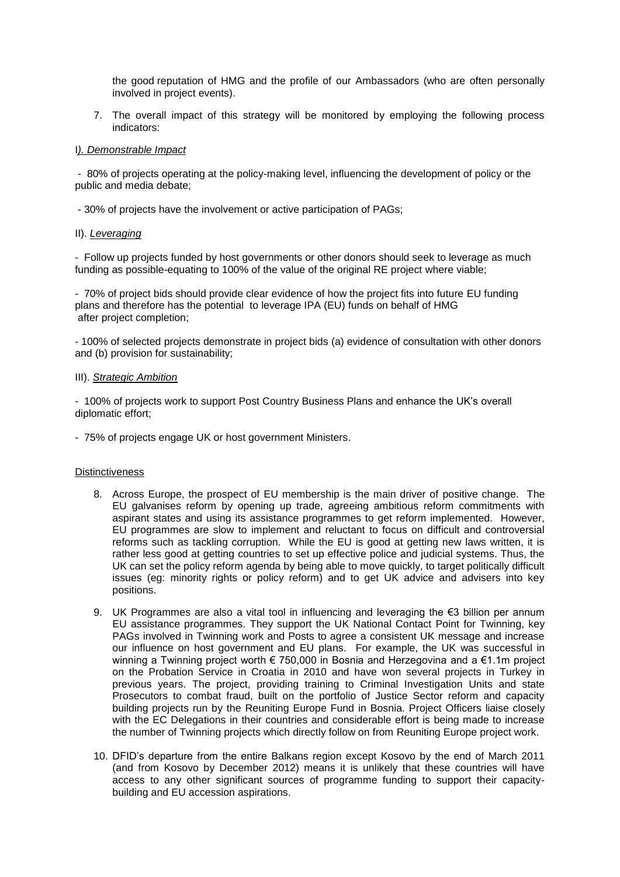the good reputation of HMG and the profile of our Ambassadors (who are often personally involved in project events).

7. The overall impact of this strategy will be monitored by employing the following process indicators:

## I*). Demonstrable Impact*

- 80% of projects operating at the policy-making level, influencing the development of policy or the public and media debate;

- 30% of projects have the involvement or active participation of PAGs;

# II). *Leveraging*

- Follow up projects funded by host governments or other donors should seek to leverage as much funding as possible-equating to 100% of the value of the original RE project where viable;

- 70% of project bids should provide clear evidence of how the project fits into future EU funding plans and therefore has the potential to leverage IPA (EU) funds on behalf of HMG after project completion;

- 100% of selected projects demonstrate in project bids (a) evidence of consultation with other donors and (b) provision for sustainability;

## III). *Strategic Ambition*

- 100% of projects work to support Post Country Business Plans and enhance the UK"s overall diplomatic effort;

- 75% of projects engage UK or host government Ministers.

## **Distinctiveness**

- 8. Across Europe, the prospect of EU membership is the main driver of positive change. The EU galvanises reform by opening up trade, agreeing ambitious reform commitments with aspirant states and using its assistance programmes to get reform implemented. However, EU programmes are slow to implement and reluctant to focus on difficult and controversial reforms such as tackling corruption. While the EU is good at getting new laws written, it is rather less good at getting countries to set up effective police and judicial systems. Thus, the UK can set the policy reform agenda by being able to move quickly, to target politically difficult issues (eg: minority rights or policy reform) and to get UK advice and advisers into key positions.
- 9. UK Programmes are also a vital tool in influencing and leveraging the €3 billion per annum EU assistance programmes. They support the UK National Contact Point for Twinning, key PAGs involved in Twinning work and Posts to agree a consistent UK message and increase our influence on host government and EU plans. For example, the UK was successful in winning a Twinning project worth € 750,000 in Bosnia and Herzegovina and a €1.1m project on the Probation Service in Croatia in 2010 and have won several projects in Turkey in previous years. The project, providing training to Criminal Investigation Units and state Prosecutors to combat fraud, built on the portfolio of Justice Sector reform and capacity building projects run by the Reuniting Europe Fund in Bosnia. Project Officers liaise closely with the EC Delegations in their countries and considerable effort is being made to increase the number of Twinning projects which directly follow on from Reuniting Europe project work.
- 10. DFID"s departure from the entire Balkans region except Kosovo by the end of March 2011 (and from Kosovo by December 2012) means it is unlikely that these countries will have access to any other significant sources of programme funding to support their capacitybuilding and EU accession aspirations.